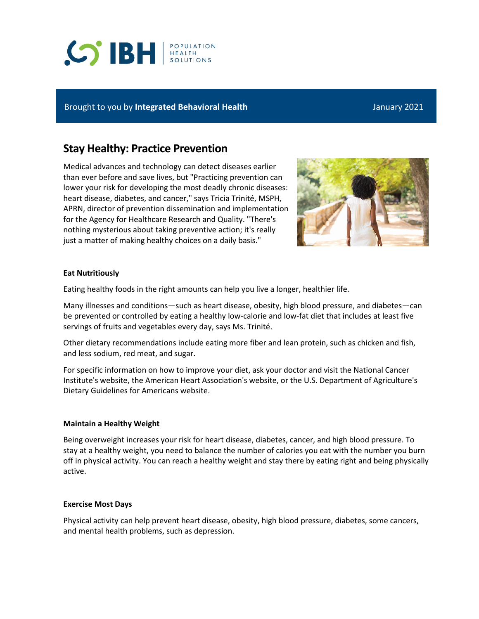# **CO BH REALTH**

### Brought to you by **Integrated Behavioral Health** January 2021

# **Stay Healthy: Practice Prevention**

Medical advances and technology can detect diseases earlier than ever before and save lives, but "Practicing prevention can lower your risk for developing the most deadly chronic diseases: heart disease, diabetes, and cancer," says Tricia Trinité, MSPH, APRN, director of prevention dissemination and implementation for the Agency for Healthcare Research and Quality. "There's nothing mysterious about taking preventive action; it's really just a matter of making healthy choices on a daily basis."



#### **Eat Nutritiously**

Eating healthy foods in the right amounts can help you live a longer, healthier life.

Many illnesses and conditions—such as heart disease, obesity, high blood pressure, and diabetes—can be prevented or controlled by eating a healthy low-calorie and low-fat diet that includes at least five servings of fruits and vegetables every day, says Ms. Trinité.

Other dietary recommendations include eating more fiber and lean protein, such as chicken and fish, and less sodium, red meat, and sugar.

For specific information on how to improve your diet, ask your doctor and visit the National Cancer Institute's website, the American Heart Association's website, or the U.S. Department of Agriculture's Dietary Guidelines for Americans website.

#### **Maintain a Healthy Weight**

Being overweight increases your risk for heart disease, diabetes, cancer, and high blood pressure. To stay at a healthy weight, you need to balance the number of calories you eat with the number you burn off in physical activity. You can reach a healthy weight and stay there by eating right and being physically active.

#### **Exercise Most Days**

Physical activity can help prevent heart disease, obesity, high blood pressure, diabetes, some cancers, and mental health problems, such as depression.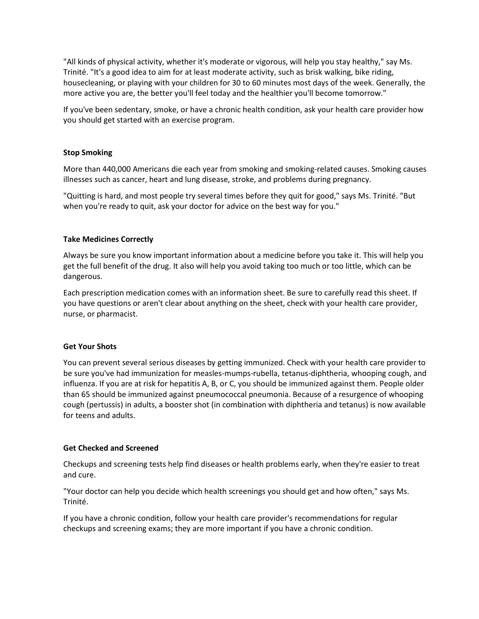"All kinds of physical activity, whether it's moderate or vigorous, will help you stay healthy," say Ms. Trinité. "It's a good idea to aim for at least moderate activity, such as brisk walking, bike riding, housecleaning, or playing with your children for 30 to 60 minutes most days of the week. Generally, the more active you are, the better you'll feel today and the healthier you'll become tomorrow."

If you've been sedentary, smoke, or have a chronic health condition, ask your health care provider how you should get started with an exercise program.

#### **Stop Smoking**

More than 440,000 Americans die each year from smoking and smoking-related causes. Smoking causes illnesses such as cancer, heart and lung disease, stroke, and problems during pregnancy.

"Quitting is hard, and most people try several times before they quit for good," says Ms. Trinité. "But when you're ready to quit, ask your doctor for advice on the best way for you."

#### **Take Medicines Correctly**

Always be sure you know important information about a medicine before you take it. This will help you get the full benefit of the drug. It also will help you avoid taking too much or too little, which can be dangerous.

Each prescription medication comes with an information sheet. Be sure to carefully read this sheet. If you have questions or aren't clear about anything on the sheet, check with your health care provider, nurse, or pharmacist.

#### **Get Your Shots**

You can prevent several serious diseases by getting immunized. Check with your health care provider to be sure you've had immunization for measles-mumps-rubella, tetanus-diphtheria, whooping cough, and influenza. If you are at risk for hepatitis A, B, or C, you should be immunized against them. People older than 65 should be immunized against pneumococcal pneumonia. Because of a resurgence of whooping cough (pertussis) in adults, a booster shot (in combination with diphtheria and tetanus) is now available for teens and adults.

#### **Get Checked and Screened**

Checkups and screening tests help find diseases or health problems early, when they're easier to treat and cure.

"Your doctor can help you decide which health screenings you should get and how often," says Ms. Trinité.

If you have a chronic condition, follow your health care provider's recommendations for regular checkups and screening exams; they are more important if you have a chronic condition.